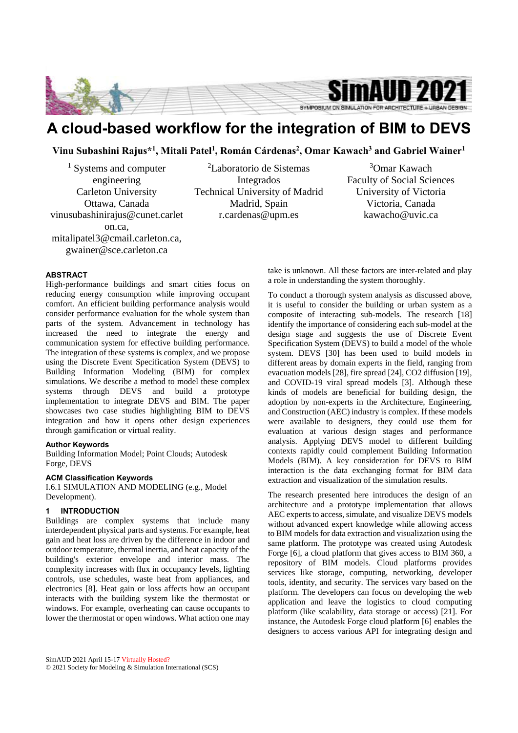

# **A cloud-based workflow for the integration of BIM to DEVS**

**Vinu Subashini Rajus\*1 , Mitali Patel1 , Román Cárdenas2 , Omar Kawach3 and Gabriel Wainer1**

<sup>1</sup> Systems and computer engineering Carleton University Ottawa, Canada vinusubashinirajus@cunet.carlet on.ca, mitalipatel3@cmail.carleton.ca,

gwainer@sce.carleton.ca

# **ABSTRACT**

High-performance buildings and smart cities focus on reducing energy consumption while improving occupant comfort. An efficient building performance analysis would consider performance evaluation for the whole system than parts of the system. Advancement in technology has increased the need to integrate the energy and communication system for effective building performance. The integration of these systems is complex, and we propose using the Discrete Event Specification System (DEVS) to Building Information Modeling (BIM) for complex simulations. We describe a method to model these complex systems through DEVS and build a prototype implementation to integrate DEVS and BIM. The paper showcases two case studies highlighting BIM to DEVS integration and how it opens other design experiences through gamification or virtual reality.

#### **Author Keywords**

Building Information Model; Point Clouds; Autodesk Forge, DEVS

## **ACM Classification Keywords**

I.6.1 SIMULATION AND MODELING (e.g., Model Development).

#### **1 INTRODUCTION**

Buildings are complex systems that include many interdependent physical parts and systems. For example, heat gain and heat loss are driven by the difference in indoor and outdoor temperature, thermal inertia, and heat capacity of the building's exterior envelope and interior mass. The complexity increases with flux in occupancy levels, lighting controls, use schedules, waste heat from appliances, and electronics [8]. Heat gain or loss affects how an occupant interacts with the building system like the thermostat or windows. For example, overheating can cause occupants to lower the thermostat or open windows. What action one may

2 Laboratorio de Sistemas Integrados Technical University of Madrid Madrid, Spain r.cardenas@upm.es

3 Omar Kawach Faculty of Social Sciences University of Victoria Victoria, Canada kawacho@uvic.ca

take is unknown. All these factors are inter-related and play a role in understanding the system thoroughly.

To conduct a thorough system analysis as discussed above, it is useful to consider the building or urban system as a composite of interacting sub-models. The research [18] identify the importance of considering each sub-model at the design stage and suggests the use of Discrete Event Specification System (DEVS) to build a model of the whole system. DEVS [30] has been used to build models in different areas by domain experts in the field, ranging from evacuation models [28], fire spread [24], CO2 diffusion [19], and COVID-19 viral spread models [3]. Although these kinds of models are beneficial for building design, the adoption by non-experts in the Architecture, Engineering, and Construction (AEC) industry is complex. If these models were available to designers, they could use them for evaluation at various design stages and performance analysis. Applying DEVS model to different building contexts rapidly could complement Building Information Models (BIM). A key consideration for DEVS to BIM interaction is the data exchanging format for BIM data extraction and visualization of the simulation results.

The research presented here introduces the design of an architecture and a prototype implementation that allows AEC experts to access, simulate, and visualize DEVS models without advanced expert knowledge while allowing access to BIM models for data extraction and visualization using the same platform. The prototype was created using Autodesk Forge [6], a cloud platform that gives access to BIM 360, a repository of BIM models. Cloud platforms provides services like storage, computing, networking, developer tools, identity, and security. The services vary based on the platform. The developers can focus on developing the web application and leave the logistics to cloud computing platform (like scalability, data storage or access) [21]. For instance, the Autodesk Forge cloud platform [6] enables the designers to access various API for integrating design and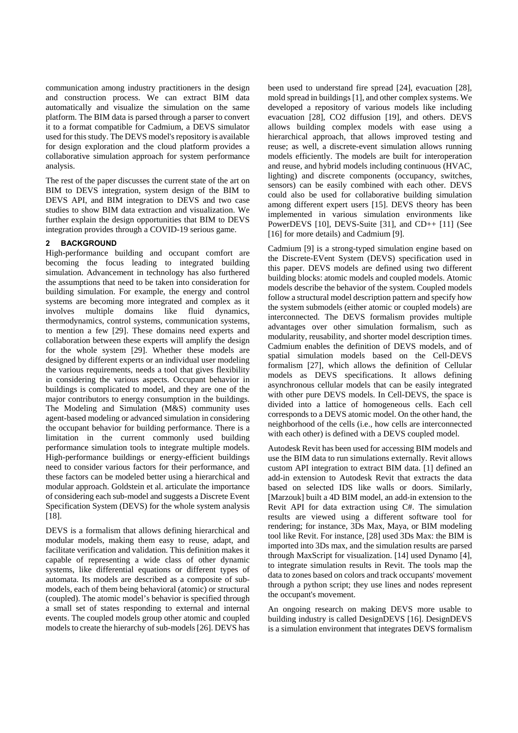communication among industry practitioners in the design and construction process. We can extract BIM data automatically and visualize the simulation on the same platform. The BIM data is parsed through a parser to convert it to a format compatible for Cadmium, a DEVS simulator used for this study. The DEVS model's repository is available for design exploration and the cloud platform provides a collaborative simulation approach for system performance analysis.

The rest of the paper discusses the current state of the art on BIM to DEVS integration, system design of the BIM to DEVS API, and BIM integration to DEVS and two case studies to show BIM data extraction and visualization. We further explain the design opportunities that BIM to DEVS integration provides through a COVID-19 serious game.

## **2 BACKGROUND**

High-performance building and occupant comfort are becoming the focus leading to integrated building simulation. Advancement in technology has also furthered the assumptions that need to be taken into consideration for building simulation. For example, the energy and control systems are becoming more integrated and complex as it involves multiple domains like fluid dynamics, thermodynamics, control systems, communication systems, to mention a few [29]. These domains need experts and collaboration between these experts will amplify the design for the whole system [29]. Whether these models are designed by different experts or an individual user modeling the various requirements, needs a tool that gives flexibility in considering the various aspects. Occupant behavior in buildings is complicated to model, and they are one of the major contributors to energy consumption in the buildings. The Modeling and Simulation (M&S) community uses agent-based modeling or advanced simulation in considering the occupant behavior for building performance. There is a limitation in the current commonly used building performance simulation tools to integrate multiple models. High-performance buildings or energy-efficient buildings need to consider various factors for their performance, and these factors can be modeled better using a hierarchical and modular approach. Goldstein et al. articulate the importance of considering each sub-model and suggests a Discrete Event Specification System (DEVS) for the whole system analysis [18].

DEVS is a formalism that allows defining hierarchical and modular models, making them easy to reuse, adapt, and facilitate verification and validation. This definition makes it capable of representing a wide class of other dynamic systems, like differential equations or different types of automata. Its models are described as a composite of submodels, each of them being behavioral (atomic) or structural (coupled). The atomic model's behavior is specified through a small set of states responding to external and internal events. The coupled models group other atomic and coupled models to create the hierarchy of sub-models [26]. DEVS has been used to understand fire spread [24], evacuation [28], mold spread in buildings [1], and other complex systems. We developed a repository of various models like including evacuation [28], CO2 diffusion [19], and others. DEVS allows building complex models with ease using a hierarchical approach, that allows improved testing and reuse; as well, a discrete-event simulation allows running models efficiently. The models are built for interoperation and reuse, and hybrid models including continuous (HVAC, lighting) and discrete components (occupancy, switches, sensors) can be easily combined with each other. DEVS could also be used for collaborative building simulation among different expert users [15]. DEVS theory has been implemented in various simulation environments like PowerDEVS [10], DEVS-Suite [31], and CD++ [11] (See [16] for more details) and Cadmium [9].

Cadmium [9] is a strong-typed simulation engine based on the Discrete-EVent System (DEVS) specification used in this paper. DEVS models are defined using two different building blocks: atomic models and coupled models. Atomic models describe the behavior of the system. Coupled models follow a structural model description pattern and specify how the system submodels (either atomic or coupled models) are interconnected. The DEVS formalism provides multiple advantages over other simulation formalism, such as modularity, reusability, and shorter model description times. Cadmium enables the definition of DEVS models, and of spatial simulation models based on the Cell-DEVS formalism [27], which allows the definition of Cellular models as DEVS specifications. It allows defining asynchronous cellular models that can be easily integrated with other pure DEVS models. In Cell-DEVS, the space is divided into a lattice of homogeneous cells. Each cell corresponds to a DEVS atomic model. On the other hand, the neighborhood of the cells (i.e., how cells are interconnected with each other) is defined with a DEVS coupled model.

Autodesk Revit has been used for accessing BIM models and use the BIM data to run simulations externally. Revit allows custom API integration to extract BIM data. [1] defined an add-in extension to Autodesk Revit that extracts the data based on selected IDS like walls or doors. Similarly, [Marzouk] built a 4D BIM model, an add-in extension to the Revit API for data extraction using C#. The simulation results are viewed using a different software tool for rendering; for instance, 3Ds Max, Maya, or BIM modeling tool like Revit. For instance, [28] used 3Ds Max: the BIM is imported into 3Ds max, and the simulation results are parsed through MaxScript for visualization. [14] used Dynamo [4], to integrate simulation results in Revit. The tools map the data to zones based on colors and track occupants' movement through a python script; they use lines and nodes represent the occupant's movement.

An ongoing research on making DEVS more usable to building industry is called DesignDEVS [16]. DesignDEVS is a simulation environment that integrates DEVS formalism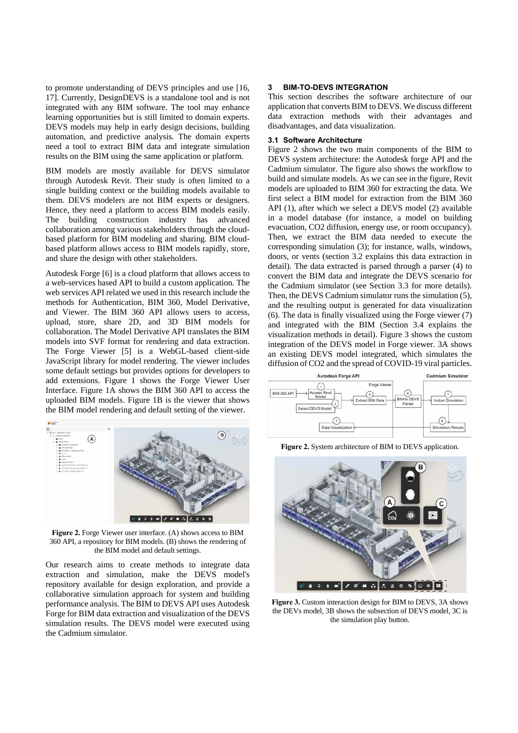to promote understanding of DEVS principles and use [16, 17]. Currently, DesignDEVS is a standalone tool and is not integrated with any BIM software. The tool may enhance learning opportunities but is still limited to domain experts. DEVS models may help in early design decisions, building automation, and predictive analysis. The domain experts need a tool to extract BIM data and integrate simulation results on the BIM using the same application or platform.

BIM models are mostly available for DEVS simulator through Autodesk Revit. Their study is often limited to a single building context or the building models available to them. DEVS modelers are not BIM experts or designers. Hence, they need a platform to access BIM models easily. The building construction industry has advanced collaboration among various stakeholders through the cloudbased platform for BIM modeling and sharing. BIM cloudbased platform allows access to BIM models rapidly, store, and share the design with other stakeholders.

Autodesk Forge [6] is a cloud platform that allows access to a web-services based API to build a custom application. The web services API related we used in this research include the methods for Authentication, BIM 360, Model Derivative, and Viewer. The BIM 360 API allows users to access, upload, store, share 2D, and 3D BIM models for collaboration. The Model Derivative API translates the BIM models into SVF format for rendering and data extraction. The Forge Viewer [5] is a WebGL-based client-side JavaScript library for model rendering. The viewer includes some default settings but provides options for developers to add extensions. Figure 1 shows the Forge Viewer User Interface. Figure 1A shows the BIM 360 API to access the uploaded BIM models. Figure 1B is the viewer that shows the BIM model rendering and default setting of the viewer.



**Figure 2.** Forge Viewer user interface. (A) shows access to BIM 360 API, a repository for BIM models. (B) shows the rendering of the BIM model and default settings.

Our research aims to create methods to integrate data extraction and simulation, make the DEVS model's repository available for design exploration, and provide a collaborative simulation approach for system and building performance analysis. The BIM to DEVS API uses Autodesk Forge for BIM data extraction and visualization of the DEVS simulation results. The DEVS model were executed using the Cadmium simulator.

## **3 BIM-TO-DEVS INTEGRATION**

This section describes the software architecture of our application that converts BIM to DEVS. We discuss different data extraction methods with their advantages and disadvantages, and data visualization.

#### **3.1 Software Architecture**

Figure 2 shows the two main components of the BIM to DEVS system architecture: the Autodesk forge API and the Cadmium simulator. The figure also shows the workflow to build and simulate models. As we can see in the figure, Revit models are uploaded to BIM 360 for extracting the data. We first select a BIM model for extraction from the BIM 360 API (1), after which we select a DEVS model (2) available in a model database (for instance, a model on building evacuation, CO2 diffusion, energy use, or room occupancy). Then, we extract the BIM data needed to execute the corresponding simulation (3); for instance, walls, windows, doors, or vents (section 3.2 explains this data extraction in detail). The data extracted is parsed through a parser (4) to convert the BIM data and integrate the DEVS scenario for the Cadmium simulator (see Section 3.3 for more details). Then, the DEVS Cadmium simulator runs the simulation (5), and the resulting output is generated for data visualization (6). The data is finally visualized using the Forge viewer (7) and integrated with the BIM (Section 3.4 explains the visualization methods in detail). Figure 3 shows the custom integration of the DEVS model in Forge viewer. 3A shows an existing DEVS model integrated, which simulates the diffusion of CO2 and the spread of COVID-19 viral particles.



**Figure 2.** System architecture of BIM to DEVS application.



**Figure 3.** Custom interaction design for BIM to DEVS, 3A shows the DEVs model, 3B shows the subsection of DEVS model, 3C is the simulation play button.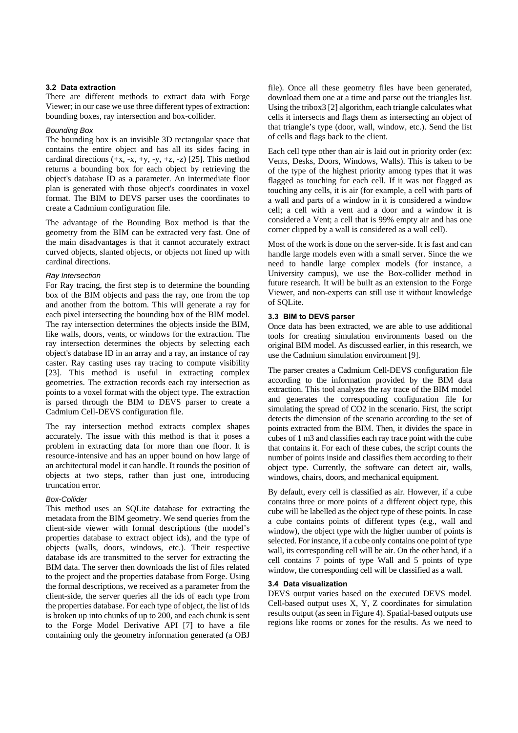#### **3.2 Data extraction**

There are different methods to extract data with Forge Viewer; in our case we use three different types of extraction: bounding boxes, ray intersection and box-collider.

#### *Bounding Box*

The bounding box is an invisible 3D rectangular space that contains the entire object and has all its sides facing in cardinal directions  $(+x, -x, +y, -y, +z, -z)$  [25]. This method returns a bounding box for each object by retrieving the object's database ID as a parameter. An intermediate floor plan is generated with those object's coordinates in voxel format. The BIM to DEVS parser uses the coordinates to create a Cadmium configuration file.

The advantage of the Bounding Box method is that the geometry from the BIM can be extracted very fast. One of the main disadvantages is that it cannot accurately extract curved objects, slanted objects, or objects not lined up with cardinal directions.

#### *Ray Intersection*

For Ray tracing, the first step is to determine the bounding box of the BIM objects and pass the ray, one from the top and another from the bottom. This will generate a ray for each pixel intersecting the bounding box of the BIM model. The ray intersection determines the objects inside the BIM, like walls, doors, vents, or windows for the extraction. The ray intersection determines the objects by selecting each object's database ID in an array and a ray, an instance of ray caster. Ray casting uses ray tracing to compute visibility [23]. This method is useful in extracting complex geometries. The extraction records each ray intersection as points to a voxel format with the object type. The extraction is parsed through the BIM to DEVS parser to create a Cadmium Cell-DEVS configuration file.

The ray intersection method extracts complex shapes accurately. The issue with this method is that it poses a problem in extracting data for more than one floor. It is resource-intensive and has an upper bound on how large of an architectural model it can handle. It rounds the position of objects at two steps, rather than just one, introducing truncation error.

## *Box-Collider*

This method uses an SQLite database for extracting the metadata from the BIM geometry. We send queries from the client-side viewer with formal descriptions (the model's properties database to extract object ids), and the type of objects (walls, doors, windows, etc.). Their respective database ids are transmitted to the server for extracting the BIM data. The server then downloads the list of files related to the project and the properties database from Forge. Using the formal descriptions, we received as a parameter from the client-side, the server queries all the ids of each type from the properties database. For each type of object, the list of ids is broken up into chunks of up to 200, and each chunk is sent to the Forge Model Derivative API [7] to have a file containing only the geometry information generated (a OBJ

file). Once all these geometry files have been generated, download them one at a time and parse out the triangles list. Using the tribox3 [2] algorithm, each triangle calculates what cells it intersects and flags them as intersecting an object of that triangle's type (door, wall, window, etc.). Send the list of cells and flags back to the client.

Each cell type other than air is laid out in priority order (ex: Vents, Desks, Doors, Windows, Walls). This is taken to be of the type of the highest priority among types that it was flagged as touching for each cell. If it was not flagged as touching any cells, it is air (for example, a cell with parts of a wall and parts of a window in it is considered a window cell; a cell with a vent and a door and a window it is considered a Vent; a cell that is 99% empty air and has one corner clipped by a wall is considered as a wall cell).

Most of the work is done on the server-side. It is fast and can handle large models even with a small server. Since the we need to handle large complex models (for instance, a University campus), we use the Box-collider method in future research. It will be built as an extension to the Forge Viewer, and non-experts can still use it without knowledge of SQLite.

#### **3.3 BIM to DEVS parser**

Once data has been extracted, we are able to use additional tools for creating simulation environments based on the original BIM model. As discussed earlier, in this research, we use the Cadmium simulation environment [9].

The parser creates a Cadmium Cell-DEVS configuration file according to the information provided by the BIM data extraction. This tool analyzes the ray trace of the BIM model and generates the corresponding configuration file for simulating the spread of CO2 in the scenario. First, the script detects the dimension of the scenario according to the set of points extracted from the BIM. Then, it divides the space in cubes of 1 m3 and classifies each ray trace point with the cube that contains it. For each of these cubes, the script counts the number of points inside and classifies them according to their object type. Currently, the software can detect air, walls, windows, chairs, doors, and mechanical equipment.

By default, every cell is classified as air. However, if a cube contains three or more points of a different object type, this cube will be labelled as the object type of these points. In case a cube contains points of different types (e.g., wall and window), the object type with the higher number of points is selected. For instance, if a cube only contains one point of type wall, its corresponding cell will be air. On the other hand, if a cell contains 7 points of type Wall and 5 points of type window, the corresponding cell will be classified as a wall.

#### **3.4 Data visualization**

DEVS output varies based on the executed DEVS model. Cell-based output uses X, Y, Z coordinates for simulation results output (as seen in Figure 4). Spatial-based outputs use regions like rooms or zones for the results. As we need to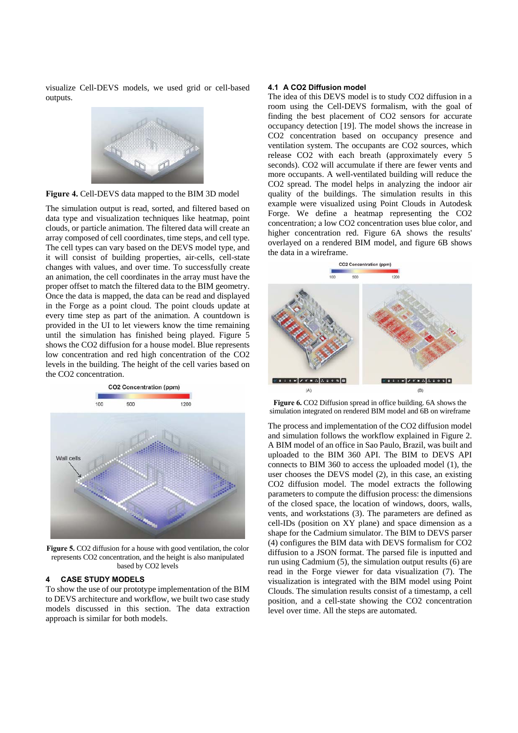visualize Cell-DEVS models, we used grid or cell-based outputs.



**Figure 4.** Cell-DEVS data mapped to the BIM 3D model

The simulation output is read, sorted, and filtered based on data type and visualization techniques like heatmap, point clouds, or particle animation. The filtered data will create an array composed of cell coordinates, time steps, and cell type. The cell types can vary based on the DEVS model type, and it will consist of building properties, air-cells, cell-state changes with values, and over time. To successfully create an animation, the cell coordinates in the array must have the proper offset to match the filtered data to the BIM geometry. Once the data is mapped, the data can be read and displayed in the Forge as a point cloud. The point clouds update at every time step as part of the animation. A countdown is provided in the UI to let viewers know the time remaining until the simulation has finished being played. Figure 5 shows the CO2 diffusion for a house model. Blue represents low concentration and red high concentration of the CO2 levels in the building. The height of the cell varies based on the CO2 concentration.



Figure 5. CO2 diffusion for a house with good ventilation, the color represents CO2 concentration, and the height is also manipulated based by CO2 levels

## **4 CASE STUDY MODELS**

To show the use of our prototype implementation of the BIM to DEVS architecture and workflow, we built two case study models discussed in this section. The data extraction approach is similar for both models.

#### **4.1 A CO2 Diffusion model**

The idea of this DEVS model is to study CO2 diffusion in a room using the Cell-DEVS formalism, with the goal of finding the best placement of CO2 sensors for accurate occupancy detection [19]. The model shows the increase in CO2 concentration based on occupancy presence and ventilation system. The occupants are CO2 sources, which release CO2 with each breath (approximately every 5 seconds). CO2 will accumulate if there are fewer vents and more occupants. A well-ventilated building will reduce the CO2 spread. The model helps in analyzing the indoor air quality of the buildings. The simulation results in this example were visualized using Point Clouds in Autodesk Forge. We define a heatmap representing the CO2 concentration; a low CO2 concentration uses blue color, and higher concentration red. Figure 6A shows the results' overlayed on a rendered BIM model, and figure 6B shows the data in a wireframe.



**Figure 6.** CO2 Diffusion spread in office building. 6A shows the simulation integrated on rendered BIM model and 6B on wireframe

The process and implementation of the CO2 diffusion model and simulation follows the workflow explained in Figure 2. A BIM model of an office in Sao Paulo, Brazil, was built and uploaded to the BIM 360 API. The BIM to DEVS API connects to BIM 360 to access the uploaded model (1), the user chooses the DEVS model (2), in this case, an existing CO2 diffusion model. The model extracts the following parameters to compute the diffusion process: the dimensions of the closed space, the location of windows, doors, walls, vents, and workstations (3). The parameters are defined as cell-IDs (position on XY plane) and space dimension as a shape for the Cadmium simulator. The BIM to DEVS parser (4) configures the BIM data with DEVS formalism for CO2 diffusion to a JSON format. The parsed file is inputted and run using Cadmium (5), the simulation output results (6) are read in the Forge viewer for data visualization (7). The visualization is integrated with the BIM model using Point Clouds. The simulation results consist of a timestamp, a cell position, and a cell-state showing the CO2 concentration level over time. All the steps are automated.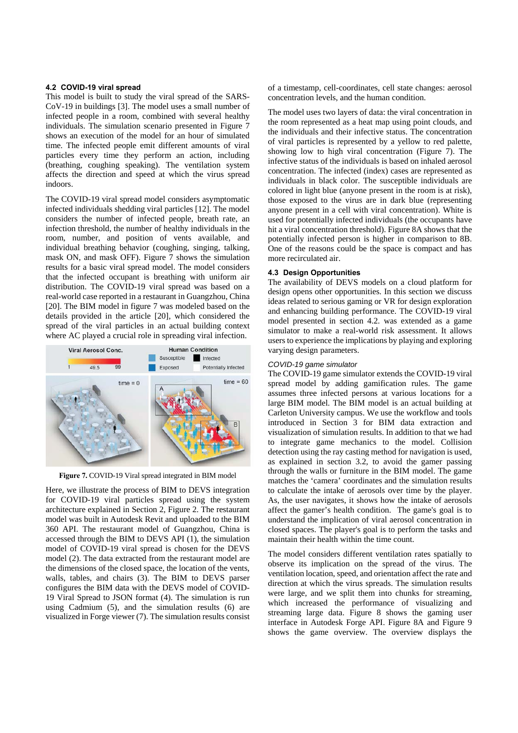#### **4.2 COVID-19 viral spread**

This model is built to study the viral spread of the SARS-CoV-19 in buildings [3]. The model uses a small number of infected people in a room, combined with several healthy individuals. The simulation scenario presented in Figure 7 shows an execution of the model for an hour of simulated time. The infected people emit different amounts of viral particles every time they perform an action, including (breathing, coughing speaking). The ventilation system affects the direction and speed at which the virus spread indoors.

The COVID-19 viral spread model considers asymptomatic infected individuals shedding viral particles [12]. The model considers the number of infected people, breath rate, an infection threshold, the number of healthy individuals in the room, number, and position of vents available, and individual breathing behavior (coughing, singing, talking, mask ON, and mask OFF). Figure 7 shows the simulation results for a basic viral spread model. The model considers that the infected occupant is breathing with uniform air distribution. The COVID-19 viral spread was based on a real-world case reported in a restaurant in Guangzhou, China [20]. The BIM model in figure 7 was modeled based on the details provided in the article [20], which considered the spread of the viral particles in an actual building context where AC played a crucial role in spreading viral infection.



**Figure 7.** COVID-19 Viral spread integrated in BIM model

Here, we illustrate the process of BIM to DEVS integration for COVID-19 viral particles spread using the system architecture explained in Section 2, Figure 2. The restaurant model was built in Autodesk Revit and uploaded to the BIM 360 API. The restaurant model of Guangzhou, China is accessed through the BIM to DEVS API (1), the simulation model of COVID-19 viral spread is chosen for the DEVS model (2). The data extracted from the restaurant model are the dimensions of the closed space, the location of the vents, walls, tables, and chairs (3). The BIM to DEVS parser configures the BIM data with the DEVS model of COVID-19 Viral Spread to JSON format (4). The simulation is run using Cadmium (5), and the simulation results (6) are visualized in Forge viewer (7). The simulation results consist of a timestamp, cell-coordinates, cell state changes: aerosol concentration levels, and the human condition.

The model uses two layers of data: the viral concentration in the room represented as a heat map using point clouds, and the individuals and their infective status. The concentration of viral particles is represented by a yellow to red palette, showing low to high viral concentration (Figure 7). The infective status of the individuals is based on inhaled aerosol concentration. The infected (index) cases are represented as individuals in black color. The susceptible individuals are colored in light blue (anyone present in the room is at risk), those exposed to the virus are in dark blue (representing anyone present in a cell with viral concentration). White is used for potentially infected individuals (the occupants have hit a viral concentration threshold). Figure 8A shows that the potentially infected person is higher in comparison to 8B. One of the reasons could be the space is compact and has more recirculated air.

#### **4.3 Design Opportunities**

The availability of DEVS models on a cloud platform for design opens other opportunities. In this section we discuss ideas related to serious gaming or VR for design exploration and enhancing building performance. The COVID-19 viral model presented in section 4.2. was extended as a game simulator to make a real-world risk assessment. It allows users to experience the implications by playing and exploring varying design parameters.

#### *COVID-19 game simulator*

The COVID-19 game simulator extends the COVID-19 viral spread model by adding gamification rules. The game assumes three infected persons at various locations for a large BIM model. The BIM model is an actual building at Carleton University campus. We use the workflow and tools introduced in Section 3 for BIM data extraction and visualization of simulation results. In addition to that we had to integrate game mechanics to the model. Collision detection using the ray casting method for navigation is used, as explained in section 3.2, to avoid the gamer passing through the walls or furniture in the BIM model. The game matches the 'camera' coordinates and the simulation results to calculate the intake of aerosols over time by the player. As, the user navigates, it shows how the intake of aerosols affect the gamer's health condition. The game's goal is to understand the implication of viral aerosol concentration in closed spaces. The player's goal is to perform the tasks and maintain their health within the time count.

The model considers different ventilation rates spatially to observe its implication on the spread of the virus. The ventilation location, speed, and orientation affect the rate and direction at which the virus spreads. The simulation results were large, and we split them into chunks for streaming, which increased the performance of visualizing and streaming large data. Figure 8 shows the gaming user interface in Autodesk Forge API. Figure 8A and Figure 9 shows the game overview. The overview displays the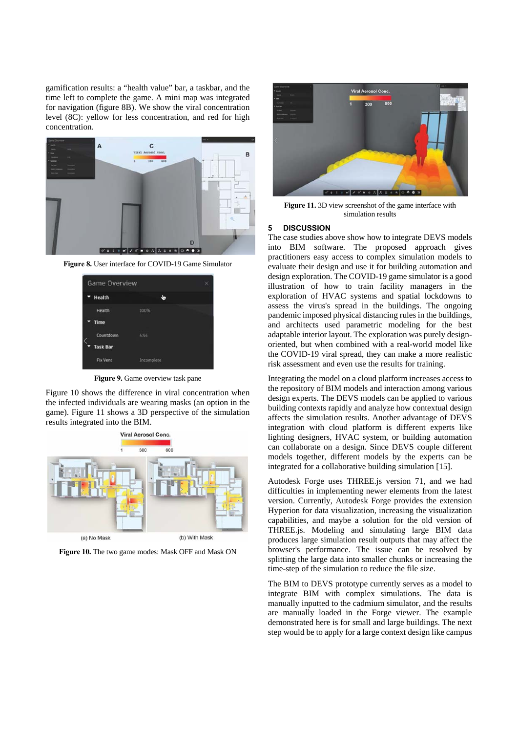gamification results: a "health value" bar, a taskbar, and the time left to complete the game. A mini map was integrated for navigation (figure 8B). We show the viral concentration level (8C): yellow for less concentration, and red for high concentration.



**Figure 8.** User interface for COVID-19 Game Simulator



**Figure 9.** Game overview task pane

Figure 10 shows the difference in viral concentration when the infected individuals are wearing masks (an option in the game). Figure 11 shows a 3D perspective of the simulation results integrated into the BIM.



**Figure 10.** The two game modes: Mask OFF and Mask ON



**Figure 11.** 3D view screenshot of the game interface with simulation results

## **5 DISCUSSION**

The case studies above show how to integrate DEVS models into BIM software. The proposed approach gives practitioners easy access to complex simulation models to evaluate their design and use it for building automation and design exploration. The COVID-19 game simulator is a good illustration of how to train facility managers in the exploration of HVAC systems and spatial lockdowns to assess the virus's spread in the buildings. The ongoing pandemic imposed physical distancing rules in the buildings, and architects used parametric modeling for the best adaptable interior layout. The exploration was purely designoriented, but when combined with a real-world model like the COVID-19 viral spread, they can make a more realistic risk assessment and even use the results for training.

Integrating the model on a cloud platform increases access to the repository of BIM models and interaction among various design experts. The DEVS models can be applied to various building contexts rapidly and analyze how contextual design affects the simulation results. Another advantage of DEVS integration with cloud platform is different experts like lighting designers, HVAC system, or building automation can collaborate on a design. Since DEVS couple different models together, different models by the experts can be integrated for a collaborative building simulation [15].

Autodesk Forge uses THREE.js version 71, and we had difficulties in implementing newer elements from the latest version. Currently, Autodesk Forge provides the extension Hyperion for data visualization, increasing the visualization capabilities, and maybe a solution for the old version of THREE.js. Modeling and simulating large BIM data produces large simulation result outputs that may affect the browser's performance. The issue can be resolved by splitting the large data into smaller chunks or increasing the time-step of the simulation to reduce the file size.

The BIM to DEVS prototype currently serves as a model to integrate BIM with complex simulations. The data is manually inputted to the cadmium simulator, and the results are manually loaded in the Forge viewer. The example demonstrated here is for small and large buildings. The next step would be to apply for a large context design like campus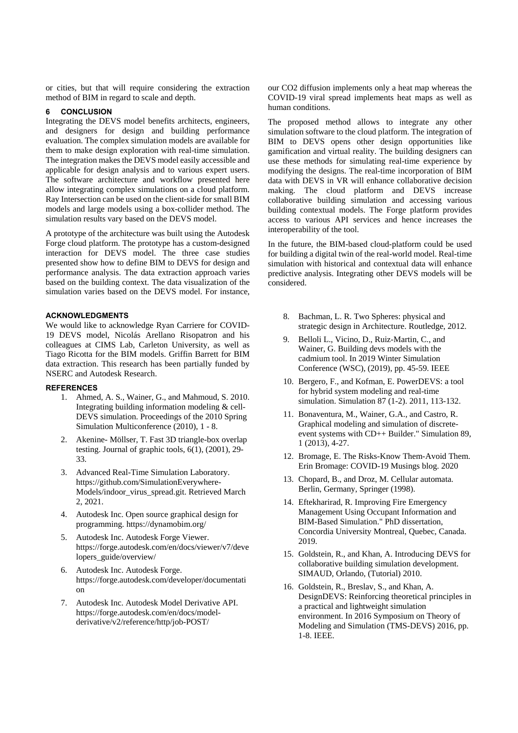or cities, but that will require considering the extraction method of BIM in regard to scale and depth.

# **6 CONCLUSION**

Integrating the DEVS model benefits architects, engineers, and designers for design and building performance evaluation. The complex simulation models are available for them to make design exploration with real-time simulation. The integration makes the DEVS model easily accessible and applicable for design analysis and to various expert users. The software architecture and workflow presented here allow integrating complex simulations on a cloud platform. Ray Intersection can be used on the client-side for small BIM models and large models using a box-collider method. The simulation results vary based on the DEVS model.

A prototype of the architecture was built using the Autodesk Forge cloud platform. The prototype has a custom-designed interaction for DEVS model. The three case studies presented show how to define BIM to DEVS for design and performance analysis. The data extraction approach varies based on the building context. The data visualization of the simulation varies based on the DEVS model. For instance,

## **ACKNOWLEDGMENTS**

We would like to acknowledge Ryan Carriere for COVID-19 DEVS model, Nicolás Arellano Risopatron and his colleagues at CIMS Lab, Carleton University, as well as Tiago Ricotta for the BIM models. Griffin Barrett for BIM data extraction. This research has been partially funded by NSERC and Autodesk Research.

#### **REFERENCES**

- 1. Ahmed, A. S., Wainer, G., and Mahmoud, S. 2010. Integrating building information modeling & cell-DEVS simulation. Proceedings of the 2010 Spring Simulation Multiconference (2010), 1 - 8.
- 2. Akenine- Möllser, T. Fast 3D triangle-box overlap testing. Journal of graphic tools, 6(1), (2001), 29- 33.
- 3. Advanced Real-Time Simulation Laboratory. https://github.com/SimulationEverywhere-Models/indoor\_virus\_spread.git. Retrieved March 2, 2021.
- 4. Autodesk Inc. Open source graphical design for programming. https://dynamobim.org/
- 5. Autodesk Inc. Autodesk Forge Viewer. https://forge.autodesk.com/en/docs/viewer/v7/deve lopers\_guide/overview/
- 6. Autodesk Inc. Autodesk Forge. https://forge.autodesk.com/developer/documentati on
- 7. Autodesk Inc. Autodesk Model Derivative API. https://forge.autodesk.com/en/docs/modelderivative/v2/reference/http/job-POST/

our CO2 diffusion implements only a heat map whereas the COVID-19 viral spread implements heat maps as well as human conditions.

The proposed method allows to integrate any other simulation software to the cloud platform. The integration of BIM to DEVS opens other design opportunities like gamification and virtual reality. The building designers can use these methods for simulating real-time experience by modifying the designs. The real-time incorporation of BIM data with DEVS in VR will enhance collaborative decision making. The cloud platform and DEVS increase collaborative building simulation and accessing various building contextual models. The Forge platform provides access to various API services and hence increases the interoperability of the tool.

In the future, the BIM-based cloud-platform could be used for building a digital twin of the real-world model. Real-time simulation with historical and contextual data will enhance predictive analysis. Integrating other DEVS models will be considered.

- 8. Bachman, L. R. Two Spheres: physical and strategic design in Architecture. Routledge, 2012.
- 9. Belloli L., Vicino, D., Ruiz-Martin, C., and Wainer, G. Building devs models with the cadmium tool. In 2019 Winter Simulation Conference (WSC), (2019), pp. 45-59. IEEE
- 10. Bergero, F., and Kofman, E. PowerDEVS: a tool for hybrid system modeling and real-time simulation. Simulation 87 (1-2). 2011, 113-132.
- 11. Bonaventura, M., Wainer, G.A., and Castro, R. Graphical modeling and simulation of discreteevent systems with CD++ Builder." Simulation 89, 1 (2013), 4-27.
- 12. Bromage, E. The Risks-Know Them-Avoid Them. Erin Bromage: COVID-19 Musings blog. 2020
- 13. Chopard, B., and Droz, M. Cellular automata. Berlin, Germany, Springer (1998).
- 14. Eftekharirad, R. Improving Fire Emergency Management Using Occupant Information and BIM-Based Simulation." PhD dissertation, Concordia University Montreal, Quebec, Canada. 2019.
- 15. Goldstein, R., and Khan, A. Introducing DEVS for collaborative building simulation development. SIMAUD, Orlando, (Tutorial) 2010.
- 16. Goldstein, R., Breslav, S., and Khan, A. DesignDEVS: Reinforcing theoretical principles in a practical and lightweight simulation environment. In 2016 Symposium on Theory of Modeling and Simulation (TMS-DEVS) 2016, pp. 1-8. IEEE.